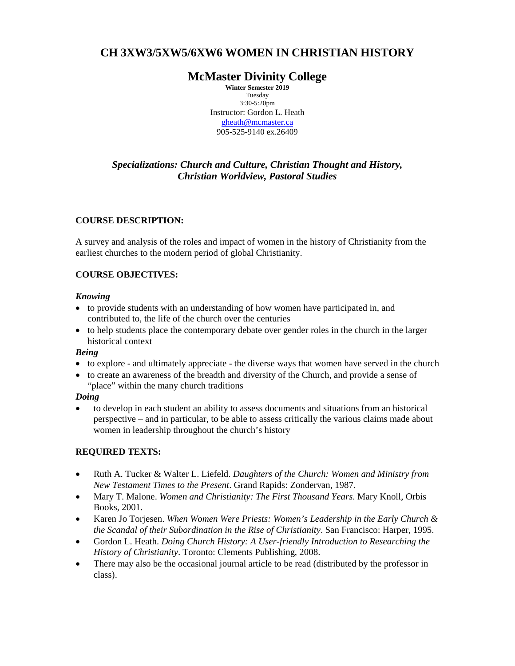# **CH 3XW3/5XW5/6XW6 WOMEN IN CHRISTIAN HISTORY**

## **McMaster Divinity College**

**Winter Semester 2019** Tuesday 3:30-5:20pm Instructor: Gordon L. Heath [gheath@mcmaster.ca](mailto:gheath@mcmaster.ca) 905-525-9140 ex.26409

## *Specializations: Church and Culture, Christian Thought and History, Christian Worldview, Pastoral Studies*

## **COURSE DESCRIPTION:**

A survey and analysis of the roles and impact of women in the history of Christianity from the earliest churches to the modern period of global Christianity.

## **COURSE OBJECTIVES:**

## *Knowing*

- to provide students with an understanding of how women have participated in, and contributed to, the life of the church over the centuries
- to help students place the contemporary debate over gender roles in the church in the larger historical context

## *Being*

- to explore and ultimately appreciate the diverse ways that women have served in the church
- to create an awareness of the breadth and diversity of the Church, and provide a sense of "place" within the many church traditions

## *Doing*

• to develop in each student an ability to assess documents and situations from an historical perspective – and in particular, to be able to assess critically the various claims made about women in leadership throughout the church's history

## **REQUIRED TEXTS:**

- Ruth A. Tucker & Walter L. Liefeld. *Daughters of the Church: Women and Ministry from New Testament Times to the Present*. Grand Rapids: Zondervan, 1987.
- Mary T. Malone. *Women and Christianity: The First Thousand Years*. Mary Knoll, Orbis Books, 2001.
- Karen Jo Torjesen. *When Women Were Priests: Women's Leadership in the Early Church & the Scandal of their Subordination in the Rise of Christianity*. San Francisco: Harper, 1995.
- Gordon L. Heath. *Doing Church History: A User-friendly Introduction to Researching the History of Christianity*. Toronto: Clements Publishing, 2008.
- There may also be the occasional journal article to be read (distributed by the professor in class).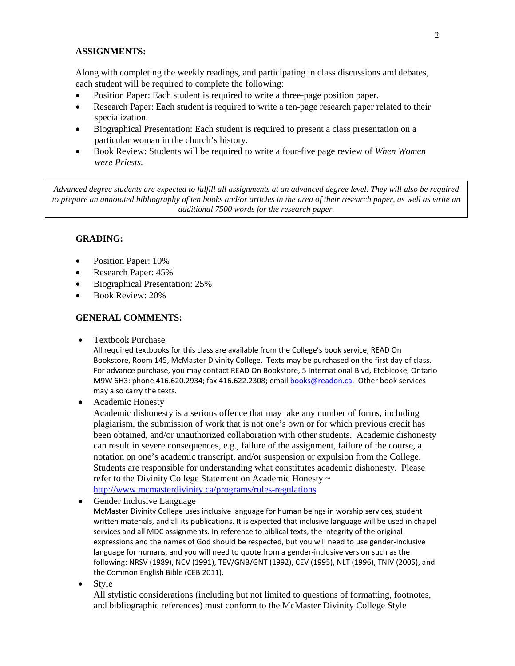#### **ASSIGNMENTS:**

Along with completing the weekly readings, and participating in class discussions and debates, each student will be required to complete the following:

- Position Paper: Each student is required to write a three-page position paper.
- Research Paper: Each student is required to write a ten-page research paper related to their specialization.
- Biographical Presentation: Each student is required to present a class presentation on a particular woman in the church's history.
- Book Review: Students will be required to write a four-five page review of *When Women were Priests.*

*Advanced degree students are expected to fulfill all assignments at an advanced degree level. They will also be required to prepare an annotated bibliography of ten books and/or articles in the area of their research paper, as well as write an additional 7500 words for the research paper.*

#### **GRADING:**

- Position Paper: 10%
- Research Paper: 45%
- Biographical Presentation: 25%
- Book Review: 20%

#### **GENERAL COMMENTS:**

• Textbook Purchase

All required textbooks for this class are available from the College's book service, READ On Bookstore, Room 145, McMaster Divinity College. Texts may be purchased on the first day of class. For advance purchase, you may contact READ On Bookstore, 5 International Blvd, Etobicoke, Ontario M9W 6H3: phone 416.620.2934; fax 416.622.2308; email [books@readon.ca.](mailto:books@readon.ca) Other book services may also carry the texts.

• Academic Honesty

Academic dishonesty is a serious offence that may take any number of forms, including plagiarism, the submission of work that is not one's own or for which previous credit has been obtained, and/or unauthorized collaboration with other students. Academic dishonesty can result in severe consequences, e.g., failure of the assignment, failure of the course, a notation on one's academic transcript, and/or suspension or expulsion from the College. Students are responsible for understanding what constitutes academic dishonesty. Please refer to the Divinity College Statement on Academic Honesty ~ <http://www.mcmasterdivinity.ca/programs/rules-regulations>

• Gender Inclusive Language

McMaster Divinity College uses inclusive language for human beings in worship services, student written materials, and all its publications. It is expected that inclusive language will be used in chapel services and all MDC assignments. In reference to biblical texts, the integrity of the original expressions and the names of God should be respected, but you will need to use gender-inclusive language for humans, and you will need to quote from a gender-inclusive version such as the following: NRSV (1989), NCV (1991), TEV/GNB/GNT (1992), CEV (1995), NLT (1996), TNIV (2005), and the Common English Bible (CEB 2011).

• Style

All stylistic considerations (including but not limited to questions of formatting, footnotes, and bibliographic references) must conform to the McMaster Divinity College Style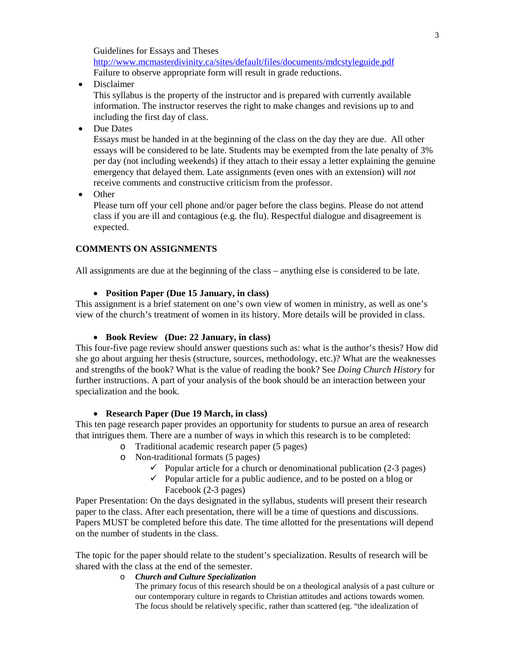Guidelines for Essays and Theses [http://www.mcmasterdivinity.ca/sites/default/files/documents/mdcstyleguide.pdf](http://www.mcmasterdivinity.ca/sites/default/files/documents/MDCStyleGuide.pdf) Failure to observe appropriate form will result in grade reductions.

• Disclaimer

This syllabus is the property of the instructor and is prepared with currently available information. The instructor reserves the right to make changes and revisions up to and including the first day of class.

• Due Dates

Essays must be handed in at the beginning of the class on the day they are due. All other essays will be considered to be late. Students may be exempted from the late penalty of 3% per day (not including weekends) if they attach to their essay a letter explaining the genuine emergency that delayed them. Late assignments (even ones with an extension) will *not* receive comments and constructive criticism from the professor.

• Other

Please turn off your cell phone and/or pager before the class begins. Please do not attend class if you are ill and contagious (e.g. the flu). Respectful dialogue and disagreement is expected.

## **COMMENTS ON ASSIGNMENTS**

All assignments are due at the beginning of the class – anything else is considered to be late.

#### • **Position Paper (Due 15 January, in class)**

This assignment is a brief statement on one's own view of women in ministry, as well as one's view of the church's treatment of women in its history. More details will be provided in class.

#### • **Book Review (Due: 22 January, in class)**

This four-five page review should answer questions such as: what is the author's thesis? How did she go about arguing her thesis (structure, sources, methodology, etc.)? What are the weaknesses and strengths of the book? What is the value of reading the book? See *Doing Church History* for further instructions. A part of your analysis of the book should be an interaction between your specialization and the book.

#### • **Research Paper (Due 19 March, in class)**

This ten page research paper provides an opportunity for students to pursue an area of research that intrigues them. There are a number of ways in which this research is to be completed:

- o Traditional academic research paper (5 pages)
- o Non-traditional formats (5 pages)
	- $\checkmark$  Popular article for a church or denominational publication (2-3 pages)
	- $\checkmark$  Popular article for a public audience, and to be posted on a blog or Facebook (2-3 pages)

Paper Presentation: On the days designated in the syllabus, students will present their research paper to the class. After each presentation, there will be a time of questions and discussions. Papers MUST be completed before this date. The time allotted for the presentations will depend on the number of students in the class.

The topic for the paper should relate to the student's specialization. Results of research will be shared with the class at the end of the semester.

#### o *Church and Culture Specialization*

The primary focus of this research should be on a theological analysis of a past culture or our contemporary culture in regards to Christian attitudes and actions towards women. The focus should be relatively specific, rather than scattered (eg. "the idealization of